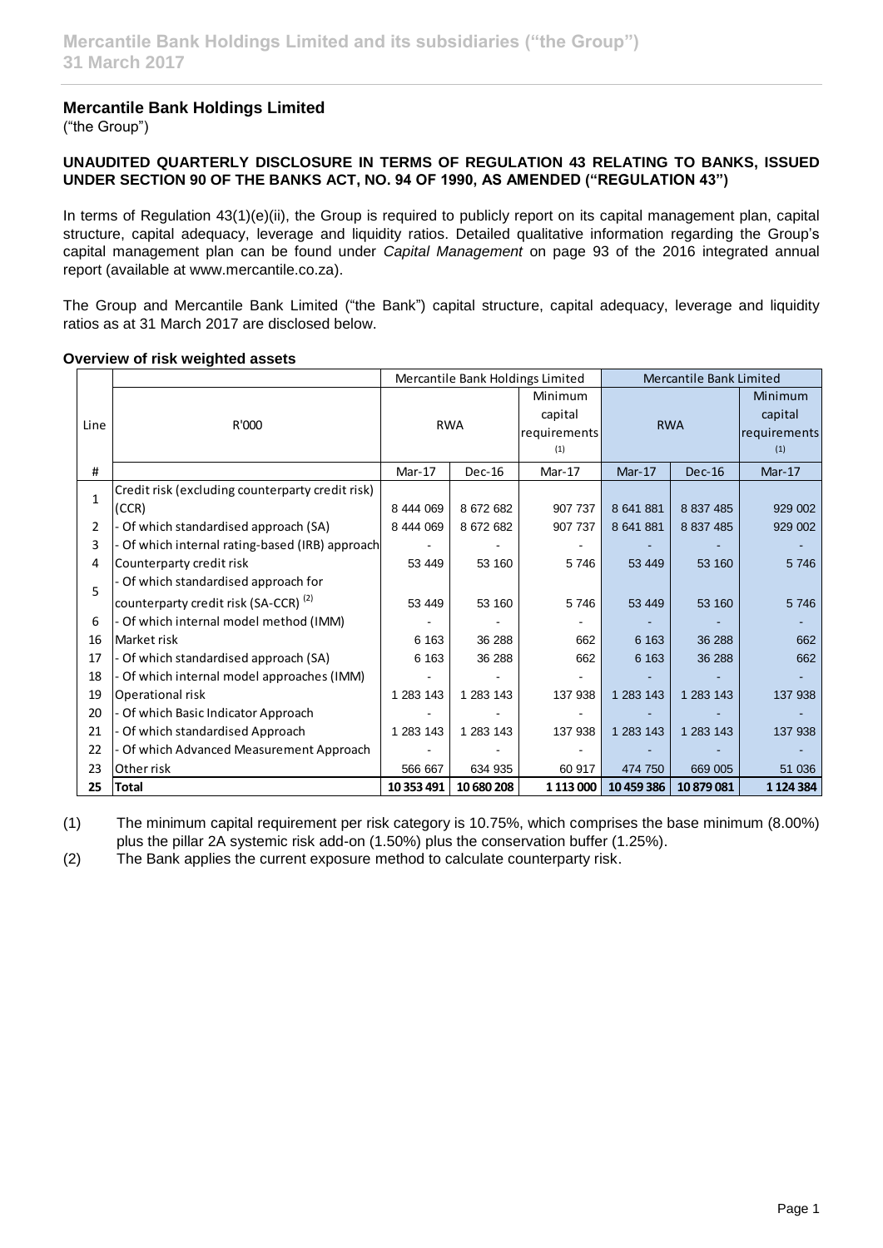# **Mercantile Bank Holdings Limited**

("the Group")

## **UNAUDITED QUARTERLY DISCLOSURE IN TERMS OF REGULATION 43 RELATING TO BANKS, ISSUED UNDER SECTION 90 OF THE BANKS ACT, NO. 94 OF 1990, AS AMENDED ("REGULATION 43")**

In terms of Regulation 43(1)(e)(ii), the Group is required to publicly report on its capital management plan, capital structure, capital adequacy, leverage and liquidity ratios. Detailed qualitative information regarding the Group's capital management plan can be found under *Capital Management* on page 93 of the 2016 integrated annual report (available at www.mercantile.co.za).

The Group and Mercantile Bank Limited ("the Bank") capital structure, capital adequacy, leverage and liquidity ratios as at 31 March 2017 are disclosed below.

|                |                                                  | Mercantile Bank Holdings Limited |               | Mercantile Bank Limited |            |               |               |
|----------------|--------------------------------------------------|----------------------------------|---------------|-------------------------|------------|---------------|---------------|
| Line           |                                                  | <b>RWA</b>                       |               | Minimum                 | <b>RWA</b> |               | Minimum       |
|                | R'000                                            |                                  |               | capital                 |            |               | capital       |
|                |                                                  |                                  |               | requirements            |            |               | requirements  |
|                |                                                  |                                  |               | (1)                     |            |               | (1)           |
| #              |                                                  | Mar-17                           | <b>Dec-16</b> | Mar-17                  | $Mar-17$   | <b>Dec-16</b> | $Mar-17$      |
| $\mathbf{1}$   | Credit risk (excluding counterparty credit risk) |                                  |               |                         |            |               |               |
|                | (CCR)                                            | 8 444 069                        | 8 672 682     | 907 737                 | 8 641 881  | 8 837 485     | 929 002       |
| $\overline{2}$ | Of which standardised approach (SA)              | 8 444 069                        | 8 672 682     | 907 737                 | 8 641 881  | 8 837 485     | 929 002       |
| 3              | Of which internal rating-based (IRB) approach    |                                  |               |                         |            |               |               |
| 4              | Counterparty credit risk                         | 53 449                           | 53 160        | 5746                    | 53 449     | 53 160        | 5746          |
| 5              | Of which standardised approach for               |                                  |               |                         |            |               |               |
|                | counterparty credit risk (SA-CCR) <sup>(2)</sup> | 53 449                           | 53 160        | 5746                    | 53 449     | 53 160        | 5746          |
| 6              | Of which internal model method (IMM)             |                                  |               |                         |            |               |               |
| 16             | Market risk                                      | 6 1 6 3                          | 36 288        | 662                     | 6 1 6 3    | 36 288        | 662           |
| 17             | - Of which standardised approach (SA)            | 6 1 6 3                          | 36 288        | 662                     | 6 1 6 3    | 36 288        | 662           |
| 18             | - Of which internal model approaches (IMM)       |                                  |               |                         |            |               |               |
| 19             | Operational risk                                 | 1 283 143                        | 1 283 143     | 137 938                 | 1 283 143  | 1 283 143     | 137 938       |
| 20             | - Of which Basic Indicator Approach              |                                  |               |                         |            |               |               |
| 21             | Of which standardised Approach                   | 1 283 143                        | 1 283 143     | 137 938                 | 1 283 143  | 1 283 143     | 137 938       |
| 22             | Of which Advanced Measurement Approach           |                                  |               |                         |            |               |               |
| 23             | Other risk                                       | 566 667                          | 634 935       | 60 917                  | 474 750    | 669 005       | 51 036        |
| 25             | Total                                            | 10 353 491                       | 10 680 208    | 1 1 1 3 0 0 0           | 10 459 386 | 10 879 081    | 1 1 2 4 3 8 4 |

## **Overview of risk weighted assets**

(1) The minimum capital requirement per risk category is 10.75%, which comprises the base minimum (8.00%) plus the pillar 2A systemic risk add-on (1.50%) plus the conservation buffer (1.25%).

(2) The Bank applies the current exposure method to calculate counterparty risk.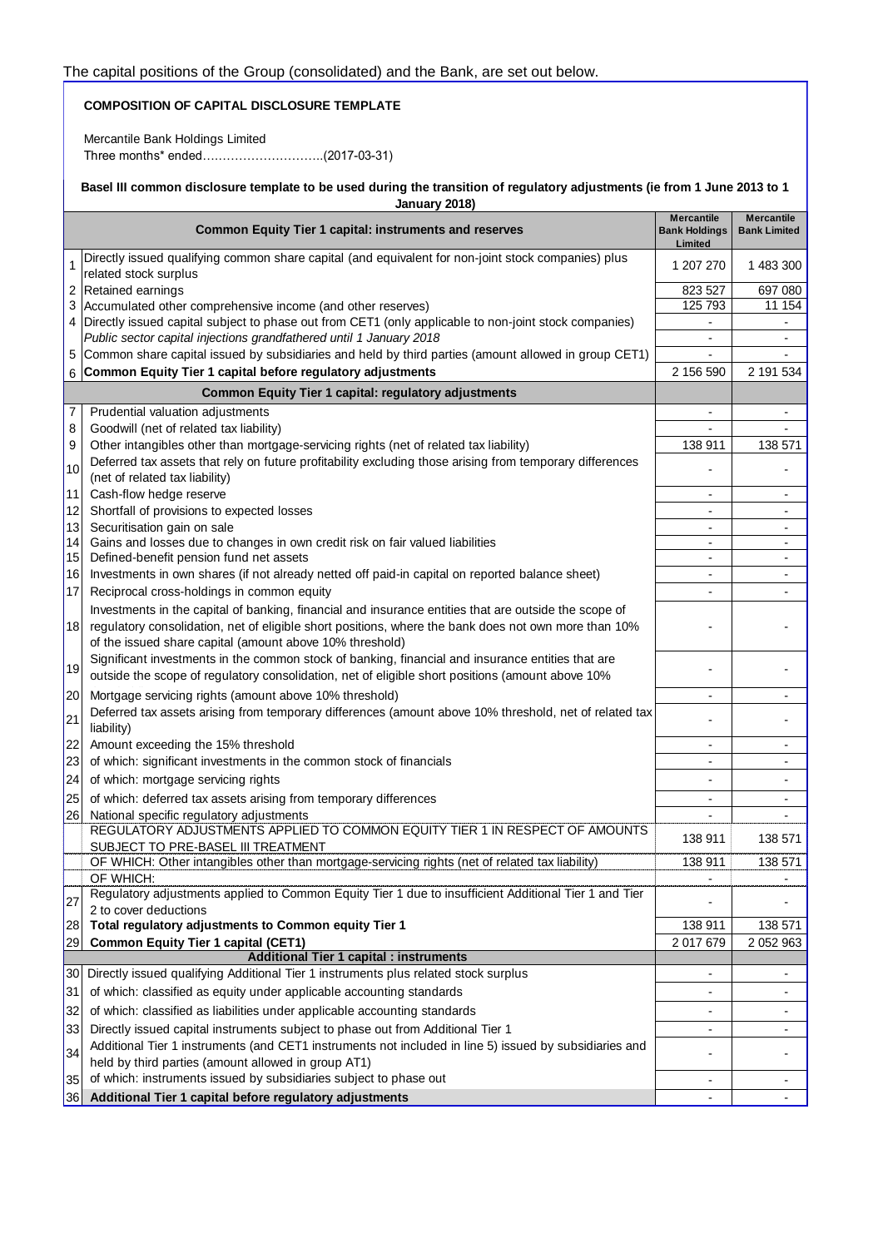## **COMPOSITION OF CAPITAL DISCLOSURE TEMPLATE**

Mercantile Bank Holdings Limited Three months\* ended….……………………..(2017-03-31)

#### **Basel III common disclosure template to be used during the transition of regulatory adjustments (ie from 1 June 2013 to 1 January 2018)**

| <b>Common Equity Tier 1 capital: instruments and reserves</b> |                                                                                                                                                                                                                                                                           | <b>Mercantile</b><br><b>Bank Holdings</b> | <b>Mercantile</b><br><b>Bank Limited</b> |
|---------------------------------------------------------------|---------------------------------------------------------------------------------------------------------------------------------------------------------------------------------------------------------------------------------------------------------------------------|-------------------------------------------|------------------------------------------|
|                                                               |                                                                                                                                                                                                                                                                           | Limited                                   |                                          |
| 1                                                             | Directly issued qualifying common share capital (and equivalent for non-joint stock companies) plus<br>related stock surplus                                                                                                                                              | 1 207 270                                 | 1 483 300                                |
| 2                                                             | Retained earnings                                                                                                                                                                                                                                                         | 823 527                                   | 697 080                                  |
| 3                                                             | Accumulated other comprehensive income (and other reserves)                                                                                                                                                                                                               | 125 793                                   | 11 154                                   |
|                                                               | 4 Directly issued capital subject to phase out from CET1 (only applicable to non-joint stock companies)                                                                                                                                                                   | $\overline{\phantom{0}}$                  | $\overline{\phantom{a}}$                 |
|                                                               | Public sector capital injections grandfathered until 1 January 2018                                                                                                                                                                                                       | $\overline{\phantom{a}}$                  | $\overline{\phantom{a}}$                 |
| 5                                                             | Common share capital issued by subsidiaries and held by third parties (amount allowed in group CET1)<br>6 Common Equity Tier 1 capital before regulatory adjustments                                                                                                      | 2 156 590                                 | 2 191 534                                |
|                                                               | <b>Common Equity Tier 1 capital: regulatory adjustments</b>                                                                                                                                                                                                               |                                           |                                          |
| 7                                                             | Prudential valuation adjustments                                                                                                                                                                                                                                          | $\overline{\phantom{a}}$                  | $\frac{1}{2}$                            |
| 8                                                             | Goodwill (net of related tax liability)                                                                                                                                                                                                                                   | $\blacksquare$                            | $\overline{\phantom{a}}$                 |
| 9                                                             | Other intangibles other than mortgage-servicing rights (net of related tax liability)                                                                                                                                                                                     | 138 911                                   | 138 571                                  |
|                                                               | Deferred tax assets that rely on future profitability excluding those arising from temporary differences                                                                                                                                                                  |                                           |                                          |
| 10                                                            | (net of related tax liability)                                                                                                                                                                                                                                            |                                           |                                          |
| 11                                                            | Cash-flow hedge reserve                                                                                                                                                                                                                                                   | $\blacksquare$                            | $\overline{\phantom{a}}$                 |
| 12                                                            | Shortfall of provisions to expected losses                                                                                                                                                                                                                                |                                           |                                          |
| 13                                                            | Securitisation gain on sale                                                                                                                                                                                                                                               | $\blacksquare$                            | $\blacksquare$                           |
| 14                                                            | Gains and losses due to changes in own credit risk on fair valued liabilities                                                                                                                                                                                             | $\overline{\phantom{0}}$                  | $\overline{\phantom{a}}$                 |
| 15                                                            | Defined-benefit pension fund net assets                                                                                                                                                                                                                                   | ٠                                         | $\overline{\phantom{a}}$                 |
| 16<br>17                                                      | Investments in own shares (if not already netted off paid-in capital on reported balance sheet)                                                                                                                                                                           | $\blacksquare$                            | $\blacksquare$                           |
|                                                               | Reciprocal cross-holdings in common equity                                                                                                                                                                                                                                |                                           |                                          |
| 18                                                            | Investments in the capital of banking, financial and insurance entities that are outside the scope of<br>regulatory consolidation, net of eligible short positions, where the bank does not own more than 10%<br>of the issued share capital (amount above 10% threshold) |                                           |                                          |
| 19                                                            | Significant investments in the common stock of banking, financial and insurance entities that are<br>outside the scope of regulatory consolidation, net of eligible short positions (amount above 10%                                                                     |                                           |                                          |
| 20                                                            | Mortgage servicing rights (amount above 10% threshold)                                                                                                                                                                                                                    | $\overline{\phantom{0}}$                  | $\overline{\phantom{a}}$                 |
| 21                                                            | Deferred tax assets arising from temporary differences (amount above 10% threshold, net of related tax<br>liability)                                                                                                                                                      |                                           |                                          |
| 22                                                            | Amount exceeding the 15% threshold                                                                                                                                                                                                                                        | ٠                                         | $\blacksquare$                           |
| 23                                                            | of which: significant investments in the common stock of financials                                                                                                                                                                                                       | $\overline{a}$                            | $\blacksquare$                           |
| 24                                                            | of which: mortgage servicing rights                                                                                                                                                                                                                                       |                                           |                                          |
| 25                                                            | of which: deferred tax assets arising from temporary differences                                                                                                                                                                                                          | $\blacksquare$                            | $\overline{a}$                           |
| 26                                                            | National specific regulatory adjustments                                                                                                                                                                                                                                  |                                           |                                          |
|                                                               | REGULATORY ADJUSTMENTS APPLIED TO COMMON EQUITY TIER 1 IN RESPECT OF AMOUNTS<br>SUBJECT TO PRE-BASEL III TREATMENT                                                                                                                                                        | 138 911                                   | 138 571                                  |
|                                                               | OF WHICH: Other intangibles other than mortgage-servicing rights (net of related tax liability)                                                                                                                                                                           | 138 911                                   | 138 571                                  |
|                                                               | OF WHICH:<br>Regulatory adjustments applied to Common Equity Tier 1 due to insufficient Additional Tier 1 and Tier                                                                                                                                                        |                                           |                                          |
| 27                                                            | 2 to cover deductions                                                                                                                                                                                                                                                     |                                           |                                          |
| 28                                                            | Total regulatory adjustments to Common equity Tier 1                                                                                                                                                                                                                      | 138 911                                   | 138 571                                  |
| 29                                                            | <b>Common Equity Tier 1 capital (CET1)</b>                                                                                                                                                                                                                                | 2 017 679                                 | 2 052 963                                |
|                                                               | <b>Additional Tier 1 capital : instruments</b>                                                                                                                                                                                                                            |                                           |                                          |
| 30 <sub>0</sub>                                               | Directly issued qualifying Additional Tier 1 instruments plus related stock surplus                                                                                                                                                                                       |                                           |                                          |
| 31                                                            | of which: classified as equity under applicable accounting standards                                                                                                                                                                                                      |                                           |                                          |
| 32                                                            | of which: classified as liabilities under applicable accounting standards                                                                                                                                                                                                 |                                           |                                          |
| 33                                                            | Directly issued capital instruments subject to phase out from Additional Tier 1                                                                                                                                                                                           |                                           | $\blacksquare$                           |
| 34                                                            | Additional Tier 1 instruments (and CET1 instruments not included in line 5) issued by subsidiaries and<br>held by third parties (amount allowed in group AT1)                                                                                                             |                                           |                                          |
| 35                                                            | of which: instruments issued by subsidiaries subject to phase out                                                                                                                                                                                                         | ٠                                         |                                          |
| 36                                                            | Additional Tier 1 capital before regulatory adjustments                                                                                                                                                                                                                   |                                           |                                          |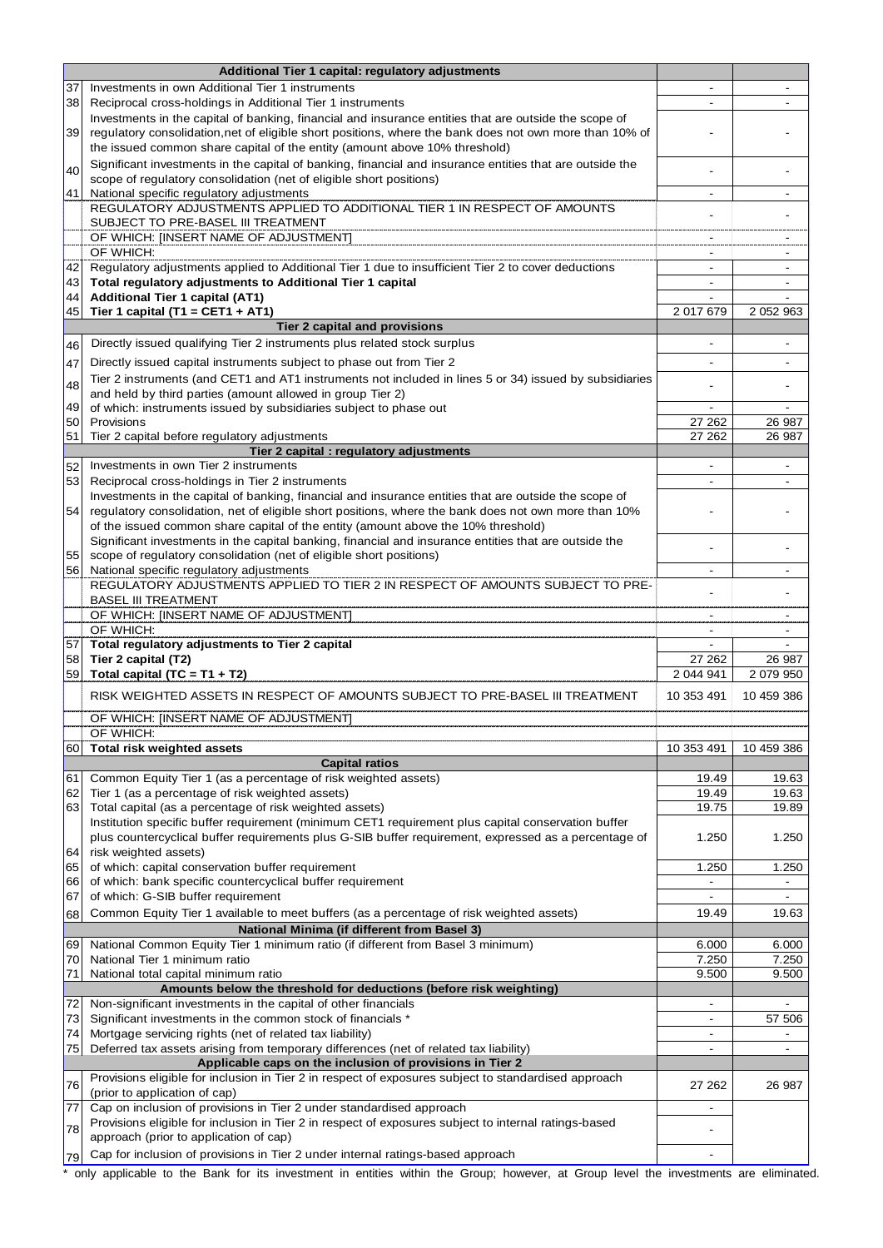|          | Additional Tier 1 capital: regulatory adjustments                                                                                                                                                                |                                  |                          |
|----------|------------------------------------------------------------------------------------------------------------------------------------------------------------------------------------------------------------------|----------------------------------|--------------------------|
| 37       | Investments in own Additional Tier 1 instruments                                                                                                                                                                 |                                  |                          |
| 38       | Reciprocal cross-holdings in Additional Tier 1 instruments                                                                                                                                                       |                                  |                          |
| 39       | Investments in the capital of banking, financial and insurance entities that are outside the scope of<br>regulatory consolidation, net of eligible short positions, where the bank does not own more than 10% of |                                  |                          |
|          | the issued common share capital of the entity (amount above 10% threshold)                                                                                                                                       |                                  |                          |
|          | Significant investments in the capital of banking, financial and insurance entities that are outside the                                                                                                         |                                  |                          |
| 40       | scope of regulatory consolidation (net of eligible short positions)                                                                                                                                              |                                  |                          |
| 41       | National specific regulatory adjustments<br>REGULATORY ADJUSTMENTS APPLIED TO ADDITIONAL TIER 1 IN RESPECT OF AMOUNTS                                                                                            | $\blacksquare$                   | $\blacksquare$           |
|          | SUBJECT TO PRE-BASEL III TREATMENT                                                                                                                                                                               |                                  |                          |
|          | OF WHICH: [INSERT NAME OF ADJUSTMENT]                                                                                                                                                                            |                                  |                          |
|          | OF WHICH:                                                                                                                                                                                                        |                                  |                          |
| 42<br>43 | Regulatory adjustments applied to Additional Tier 1 due to insufficient Tier 2 to cover deductions<br>Total regulatory adjustments to Additional Tier 1 capital                                                  | $\blacksquare$<br>$\blacksquare$ | $\overline{\phantom{a}}$ |
| 44       | <b>Additional Tier 1 capital (AT1)</b>                                                                                                                                                                           |                                  |                          |
| 45       | Tier 1 capital (T1 = CET1 + AT1)                                                                                                                                                                                 | 2 017 679                        | 2 052 963                |
|          | Tier 2 capital and provisions                                                                                                                                                                                    |                                  |                          |
| 46       | Directly issued qualifying Tier 2 instruments plus related stock surplus                                                                                                                                         |                                  |                          |
| 47       | Directly issued capital instruments subject to phase out from Tier 2                                                                                                                                             |                                  |                          |
| 48       | Tier 2 instruments (and CET1 and AT1 instruments not included in lines 5 or 34) issued by subsidiaries<br>and held by third parties (amount allowed in group Tier 2)                                             |                                  |                          |
| 49       | of which: instruments issued by subsidiaries subject to phase out                                                                                                                                                |                                  |                          |
| 50       | Provisions                                                                                                                                                                                                       | 27 262                           | 26 987                   |
| 51       | Tier 2 capital before regulatory adjustments                                                                                                                                                                     | 27 262                           | 26 987                   |
| 52       | Tier 2 capital : regulatory adjustments<br>Investments in own Tier 2 instruments                                                                                                                                 |                                  |                          |
| 53       | Reciprocal cross-holdings in Tier 2 instruments                                                                                                                                                                  | $\overline{\phantom{a}}$         | $\overline{\phantom{a}}$ |
|          | Investments in the capital of banking, financial and insurance entities that are outside the scope of                                                                                                            |                                  |                          |
| 54       | regulatory consolidation, net of eligible short positions, where the bank does not own more than 10%                                                                                                             |                                  |                          |
|          | of the issued common share capital of the entity (amount above the 10% threshold)<br>Significant investments in the capital banking, financial and insurance entities that are outside the                       |                                  |                          |
| 55       | scope of regulatory consolidation (net of eligible short positions)                                                                                                                                              |                                  |                          |
| 56       | National specific regulatory adjustments                                                                                                                                                                         | $\overline{\phantom{a}}$         | $\overline{\phantom{a}}$ |
|          | REGULATORY ADJUSTMENTS APPLIED TO TIER 2 IN RESPECT OF AMOUNTS SUBJECT TO PRE-                                                                                                                                   |                                  |                          |
|          | <b>BASEL III TREATMENT</b>                                                                                                                                                                                       |                                  |                          |
|          | OF WHICH: [INSERT NAME OF ADJUSTMENT]<br>OF WHICH:                                                                                                                                                               | $\overline{\phantom{a}}$         |                          |
| 57       | Total regulatory adjustments to Tier 2 capital                                                                                                                                                                   |                                  |                          |
| 58       | Tier 2 capital (T2)                                                                                                                                                                                              | 27 262                           | 26 987                   |
| 59       | Total capital (TC = $T1 + T2$ )                                                                                                                                                                                  | 2 044 941                        | 2 079 950                |
|          | RISK WEIGHTED ASSETS IN RESPECT OF AMOUNTS SUBJECT TO PRE-BASEL III TREATMENT                                                                                                                                    | 10 353 491                       | 10 459 386               |
|          | OF WHICH: [INSERT NAME OF ADJUSTMENT]<br>OF WHICH:                                                                                                                                                               |                                  |                          |
| 60       | Total risk weighted assets                                                                                                                                                                                       | 10 353 491                       | 10 459 386               |
|          | <b>Capital ratios</b>                                                                                                                                                                                            |                                  |                          |
| 61       | Common Equity Tier 1 (as a percentage of risk weighted assets)                                                                                                                                                   | 19.49                            | 19.63                    |
| 62       | Tier 1 (as a percentage of risk weighted assets)                                                                                                                                                                 | 19.49                            | 19.63                    |
| 63       | Total capital (as a percentage of risk weighted assets)<br>Institution specific buffer requirement (minimum CET1 requirement plus capital conservation buffer                                                    | 19.75                            | 19.89                    |
|          | plus countercyclical buffer requirements plus G-SIB buffer requirement, expressed as a percentage of                                                                                                             | 1.250                            | 1.250                    |
| 64       | risk weighted assets)                                                                                                                                                                                            |                                  |                          |
| 65       | of which: capital conservation buffer requirement                                                                                                                                                                | 1.250                            | 1.250                    |
| 66<br>67 | of which: bank specific countercyclical buffer requirement<br>of which: G-SIB buffer requirement                                                                                                                 | $\blacksquare$                   | $\overline{\phantom{a}}$ |
| 68       | Common Equity Tier 1 available to meet buffers (as a percentage of risk weighted assets)                                                                                                                         | 19.49                            | 19.63                    |
|          | National Minima (if different from Basel 3)                                                                                                                                                                      |                                  |                          |
| 69       | National Common Equity Tier 1 minimum ratio (if different from Basel 3 minimum)                                                                                                                                  | 6.000                            | 6.000                    |
| 70       | National Tier 1 minimum ratio                                                                                                                                                                                    | 7.250                            | 7.250                    |
| 71       | National total capital minimum ratio                                                                                                                                                                             | 9.500                            | 9.500                    |
| 72       | Amounts below the threshold for deductions (before risk weighting)<br>Non-significant investments in the capital of other financials                                                                             | $\overline{\phantom{a}}$         | $\overline{\phantom{a}}$ |
| 73       | Significant investments in the common stock of financials *                                                                                                                                                      | $\overline{\phantom{a}}$         | 57 506                   |
| 74       | Mortgage servicing rights (net of related tax liability)                                                                                                                                                         | $\blacksquare$                   | $\overline{\phantom{a}}$ |
| 75       | Deferred tax assets arising from temporary differences (net of related tax liability)                                                                                                                            | $\overline{\phantom{0}}$         | $\overline{\phantom{m}}$ |
|          | Applicable caps on the inclusion of provisions in Tier 2                                                                                                                                                         |                                  |                          |
| 76       | Provisions eligible for inclusion in Tier 2 in respect of exposures subject to standardised approach<br>(prior to application of cap)                                                                            | 27 262                           | 26 987                   |
| 77       | Cap on inclusion of provisions in Tier 2 under standardised approach                                                                                                                                             | $\overline{\phantom{a}}$         |                          |
| 78       | Provisions eligible for inclusion in Tier 2 in respect of exposures subject to internal ratings-based                                                                                                            |                                  |                          |
|          | approach (prior to application of cap)                                                                                                                                                                           |                                  |                          |
| 79       | Cap for inclusion of provisions in Tier 2 under internal ratings-based approach                                                                                                                                  |                                  |                          |

\* only applicable to the Bank for its investment in entities within the Group; however, at Group level the investments are eliminated.